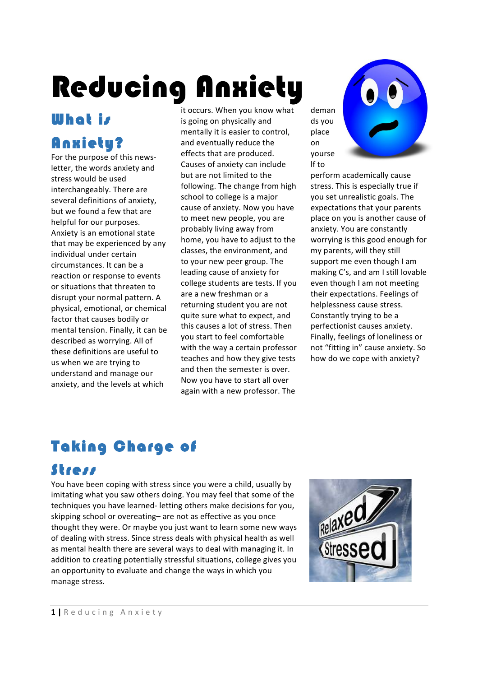# Reducing Anxiety

# **What is** Anxiety?

For the purpose of this newsletter, the words anxiety and stress would be used interchangeably. There are several definitions of anxiety. but we found a few that are helpful for our purposes. Anxiety is an emotional state that may be experienced by any individual under certain circumstances. It can be a reaction or response to events or situations that threaten to disrupt your normal pattern. A physical, emotional, or chemical factor that causes bodily or mental tension. Finally, it can be described as worrying. All of these definitions are useful to us when we are trying to understand and manage our anxiety, and the levels at which

it occurs. When you know what is going on physically and mentally it is easier to control, and eventually reduce the effects that are produced. Causes of anxiety can include but are not limited to the following. The change from high school to college is a major cause of anxiety. Now you have to meet new people, you are probably living away from home, you have to adjust to the classes, the environment, and to your new peer group. The leading cause of anxiety for college students are tests. If you are a new freshman or a returning student you are not quite sure what to expect, and this causes a lot of stress. Then you start to feel comfortable with the way a certain professor teaches and how they give tests and then the semester is over. Now you have to start all over again with a new professor. The

deman ds you place on yourse lf to 



perform academically cause stress. This is especially true if you set unrealistic goals. The expectations that your parents place on you is another cause of anxiety. You are constantly worrying is this good enough for my parents, will they still support me even though I am making C's, and am I still lovable even though I am not meeting their expectations. Feelings of helplessness cause stress. Constantly trying to be a perfectionist causes anxiety. Finally, feelings of loneliness or not "fitting in" cause anxiety. So how do we cope with anxiety?

# Taking Charge of

# Stress

You have been coping with stress since you were a child, usually by imitating what you saw others doing. You may feel that some of the techniques you have learned- letting others make decisions for you, skipping school or overeating– are not as effective as you once thought they were. Or maybe you just want to learn some new ways of dealing with stress. Since stress deals with physical health as well as mental health there are several ways to deal with managing it. In addition to creating potentially stressful situations, college gives you an opportunity to evaluate and change the ways in which you manage stress.

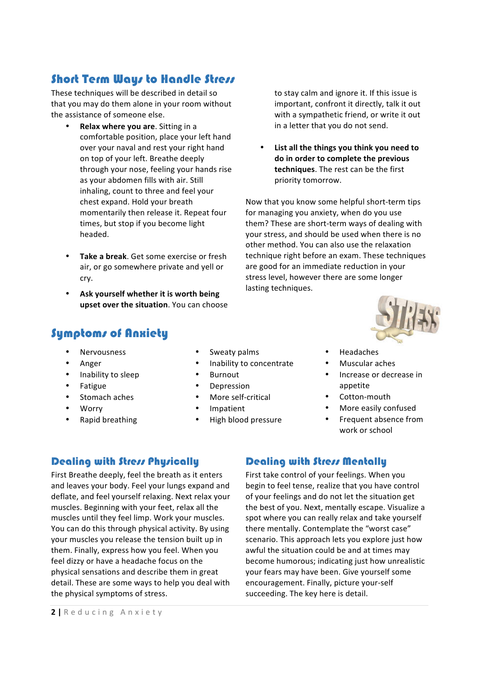## **Short Term Ways to Handle Stress**

These techniques will be described in detail so that you may do them alone in your room without the assistance of someone else.

- **Relax where you are.** Sitting in a comfortable position, place your left hand over your naval and rest your right hand on top of your left. Breathe deeply through your nose, feeling your hands rise as your abdomen fills with air. Still inhaling, count to three and feel your chest expand. Hold your breath momentarily then release it. Repeat four times, but stop if you become light headed.
- **Take a break**. Get some exercise or fresh air, or go somewhere private and yell or cry.
- Ask yourself whether it is worth being **upset over the situation**. You can choose

## Symptoms of Anxiety

- **Nervousness**
- Anger
- Inability to sleep
- **Fatigue**
- Stomach aches
- Worry
- Rapid breathing
- Sweaty palms
- Inability to concentrate
- **Burnout**
- **Depression**
- More self-critical
- **Impatient**
- High blood pressure

to stay calm and ignore it. If this issue is important, confront it directly, talk it out with a sympathetic friend, or write it out in a letter that you do not send.

List all the things you think you need to do in order to complete the previous **techniques**. The rest can be the first priority tomorrow.

Now that you know some helpful short-term tips for managing you anxiety, when do you use them? These are short-term ways of dealing with your stress, and should be used when there is no other method. You can also use the relaxation technique right before an exam. These techniques are good for an immediate reduction in your stress level, however there are some longer lasting techniques.



- Headaches
- Muscular aches
- Increase or decrease in appetite
- Cotton-mouth
- More easily confused
- Frequent absence from work or school

#### Dealing with Stress Physically

First Breathe deeply, feel the breath as it enters and leaves your body. Feel your lungs expand and deflate, and feel yourself relaxing. Next relax your muscles. Beginning with your feet, relax all the muscles until they feel limp. Work your muscles. You can do this through physical activity. By using your muscles you release the tension built up in them. Finally, express how you feel. When you feel dizzy or have a headache focus on the physical sensations and describe them in great detail. These are some ways to help you deal with the physical symptoms of stress.

#### Dealing with Stress Mentally

First take control of your feelings. When you begin to feel tense, realize that you have control of your feelings and do not let the situation get the best of you. Next, mentally escape. Visualize a spot where you can really relax and take yourself there mentally. Contemplate the "worst case" scenario. This approach lets you explore just how awful the situation could be and at times may become humorous; indicating just how unrealistic your fears may have been. Give yourself some encouragement. Finally, picture your-self succeeding. The key here is detail.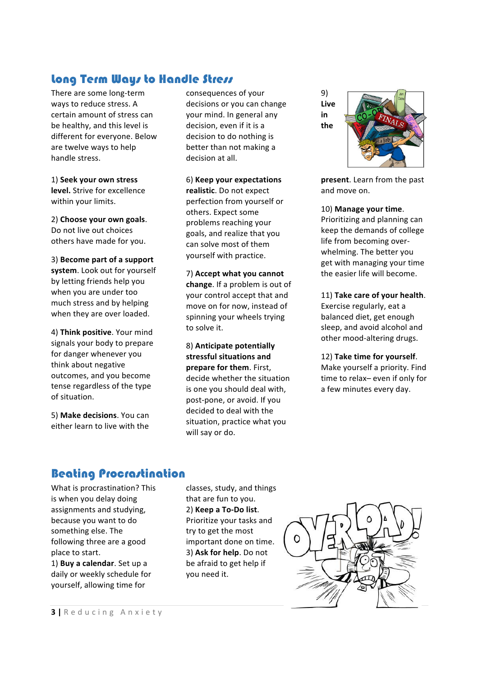## Long Term Ways to Handle Stress

There are some long-term ways to reduce stress. A certain amount of stress can be healthy, and this level is different for everyone. Below are twelve ways to help handle stress.

1) **Seek your own stress level.** Strive for excellence within your limits.

2) Choose your own goals. Do not live out choices others have made for you.

3) Become part of a support system. Look out for yourself by letting friends help you when you are under too much stress and by helping when they are over loaded.

4) Think positive. Your mind signals your body to prepare for danger whenever you think about negative outcomes, and you become tense regardless of the type of situation.

5) **Make decisions**. You can either learn to live with the

consequences of your decisions or you can change your mind. In general any decision, even if it is a decision to do nothing is better than not making a decision at all.

#### 6) **Keep your expectations**

realistic. Do not expect perfection from yourself or others. Expect some problems reaching your goals, and realize that you can solve most of them yourself with practice.

7) **Accept what you cannot change**. If a problem is out of your control accept that and move on for now, instead of spinning your wheels trying to solve it.

#### 8) **Anticipate potentially**  stressful situations and **prepare for them.** First,

decide whether the situation is one you should deal with, post-pone, or avoid. If you decided to deal with the situation, practice what you will say or do.

9) **Live in the** 



**present**. Learn from the past and move on.

10) **Manage your time**. 

Prioritizing and planning can keep the demands of college life from becoming overwhelming. The better you get with managing your time the easier life will become.

#### 11) **Take care of your health**.

Exercise regularly, eat a balanced diet, get enough sleep, and avoid alcohol and other mood-altering drugs.

#### 12) Take time for yourself.

Make yourself a priority. Find time to relax– even if only for a few minutes every day.

#### Beating Procrastination

What is procrastination? This is when you delay doing assignments and studying, because you want to do something else. The following three are a good place to start.

1) **Buy a calendar**. Set up a daily or weekly schedule for yourself, allowing time for

classes, study, and things that are fun to you. 2) **Keep a To-Do list**. Prioritize your tasks and try to get the most important done on time. 3) Ask for help. Do not be afraid to get help if you need it.